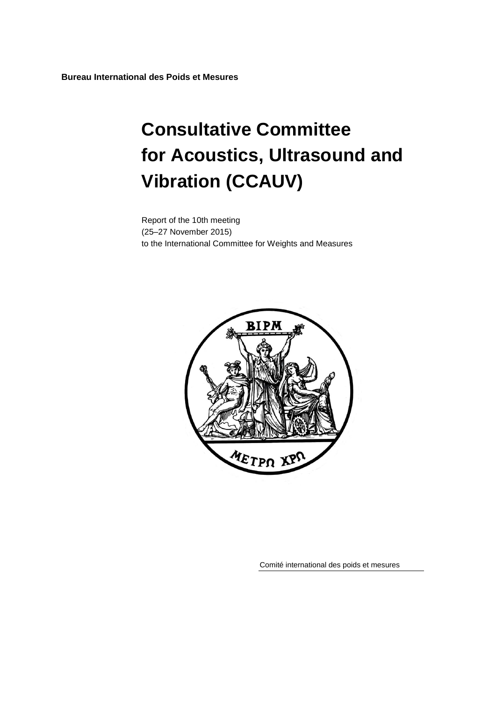**Bureau International des Poids et Mesures**

# **Consultative Committee for Acoustics, Ultrasound and Vibration (CCAUV)**

Report of the 10th meeting (25–27 November 2015) to the International Committee for Weights and Measures



Comité international des poids et mesures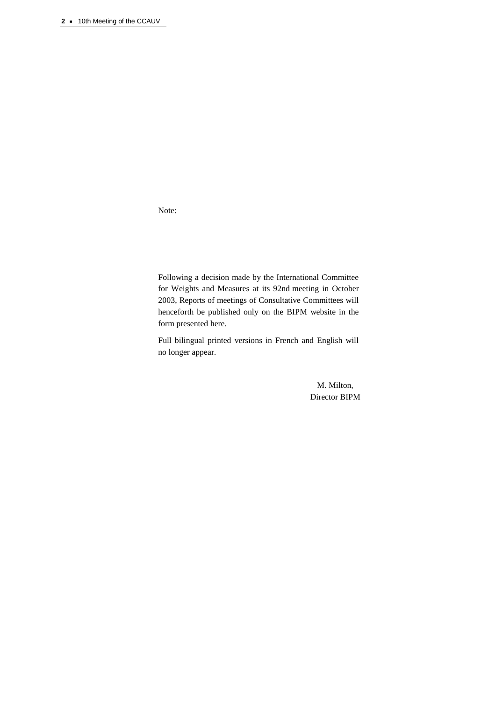Note:

Following a decision made by the International Committee for Weights and Measures at its 92nd meeting in October 2003, Reports of meetings of Consultative Committees will henceforth be published only on the BIPM website in the form presented here.

Full bilingual printed versions in French and English will no longer appear.

> M. Milton, Director BIPM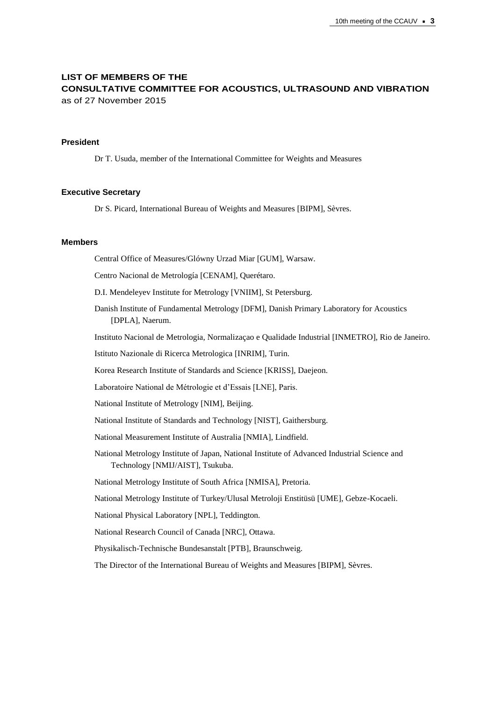# **LIST OF MEMBERS OF THE CONSULTATIVE COMMITTEE FOR ACOUSTICS, ULTRASOUND AND VIBRATION** as of 27 November 2015

#### **President**

Dr T. Usuda, member of the International Committee for Weights and Measures

#### **Executive Secretary**

Dr S. Picard, International Bureau of Weights and Measures [BIPM], Sèvres.

## **Members**

Central Office of Measures/Glówny Urzad Miar [GUM], Warsaw.

Centro Nacional de Metrología [CENAM], Querétaro.

D.I. Mendeleyev Institute for Metrology [VNIIM], St Petersburg.

Danish Institute of Fundamental Metrology [DFM], Danish Primary Laboratory for Acoustics [DPLA], Naerum.

Instituto Nacional de Metrologia, Normalizaçao e Qualidade Industrial [INMETRO], Rio de Janeiro.

Istituto Nazionale di Ricerca Metrologica [INRIM], Turin.

Korea Research Institute of Standards and Science [KRISS], Daejeon.

Laboratoire National de Métrologie et d'Essais [LNE], Paris.

National Institute of Metrology [NIM], Beijing.

National Institute of Standards and Technology [NIST], Gaithersburg.

National Measurement Institute of Australia [NMIA], Lindfield.

National Metrology Institute of Japan, National Institute of Advanced Industrial Science and Technology [NMIJ/AIST], Tsukuba.

National Metrology Institute of South Africa [NMISA], Pretoria.

National Metrology Institute of Turkey/Ulusal Metroloji Enstitüsü [UME], Gebze-Kocaeli.

National Physical Laboratory [NPL], Teddington.

National Research Council of Canada [NRC], Ottawa.

Physikalisch-Technische Bundesanstalt [PTB], Braunschweig.

The Director of the International Bureau of Weights and Measures [BIPM], Sèvres.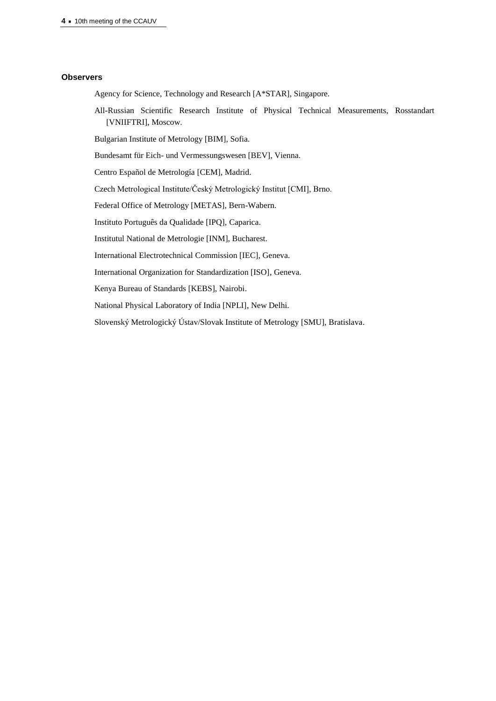**4 ·** 10th meeting of the CCAUV

#### **Observers**

Agency for Science, Technology and Research [A\*STAR], Singapore.

All-Russian Scientific Research Institute of Physical Technical Measurements, Rosstandart [VNIIFTRI], Moscow.

Bulgarian Institute of Metrology [BIM], Sofia.

Bundesamt für Eich- und Vermessungswesen [BEV], Vienna.

Centro Español de Metrología [CEM], Madrid.

Czech Metrological Institute/Český Metrologický Institut [CMI], Brno.

Federal Office of Metrology [METAS], Bern-Wabern.

Instituto Português da Qualidade [IPQ], Caparica.

Institutul National de Metrologie [INM], Bucharest.

International Electrotechnical Commission [IEC], Geneva.

International Organization for Standardization [ISO], Geneva.

Kenya Bureau of Standards [KEBS], Nairobi.

National Physical Laboratory of India [NPLI], New Delhi.

Slovenský Metrologický Ústav/Slovak Institute of Metrology [SMU], Bratislava.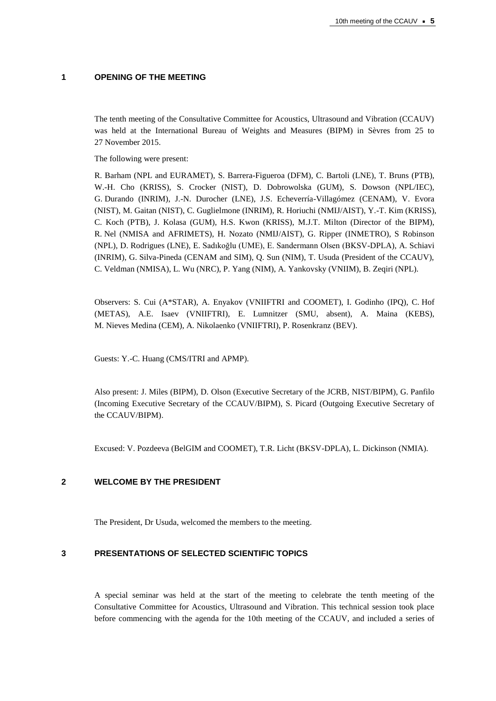## **1 OPENING OF THE MEETING**

The tenth meeting of the Consultative Committee for Acoustics, Ultrasound and Vibration (CCAUV) was held at the International Bureau of Weights and Measures (BIPM) in Sèvres from 25 to 27 November 2015.

The following were present:

R. Barham (NPL and EURAMET), S. Barrera-Figueroa (DFM), C. Bartoli (LNE), T. Bruns (PTB), W.-H. Cho (KRISS), S. Crocker (NIST), D. Dobrowolska (GUM), S. Dowson (NPL/IEC), G. Durando (INRIM), J.-N. Durocher (LNE), J.S. Echeverría-Villagómez (CENAM), V. Evora (NIST), M. Gaitan (NIST), C. Guglielmone (INRIM), R. Horiuchi (NMIJ/AIST), Y.-T. Kim (KRISS), C. Koch (PTB), J. Kolasa (GUM), H.S. Kwon (KRISS), M.J.T. Milton (Director of the BIPM), R. Nel (NMISA and AFRIMETS), H. Nozato (NMIJ/AIST), G. Ripper (INMETRO), S Robinson (NPL), D. Rodrigues (LNE), E. Sadıkoğlu (UME), E. Sandermann Olsen (BKSV-DPLA), A. Schiavi (INRIM), G. Silva-Pineda (CENAM and SIM), Q. Sun (NIM), T. Usuda (President of the CCAUV), C. Veldman (NMISA), L. Wu (NRC), P. Yang (NIM), A. Yankovsky (VNIIM), B. Zeqiri (NPL).

Observers: S. Cui (A\*STAR), A. Enyakov (VNIIFTRI and COOMET), I. Godinho (IPQ), C. Hof (METAS), A.E. Isaev (VNIIFTRI), E. Lumnitzer (SMU, absent), A. Maina (KEBS), M. Nieves Medina (CEM), A. Nikolaenko (VNIIFTRI), P. Rosenkranz (BEV).

Guests: Y.-C. Huang (CMS/ITRI and APMP).

Also present: J. Miles (BIPM), D. Olson (Executive Secretary of the JCRB, NIST/BIPM), G. Panfilo (Incoming Executive Secretary of the CCAUV/BIPM), S. Picard (Outgoing Executive Secretary of the CCAUV/BIPM).

Excused: V. Pozdeeva (BelGIM and COOMET), T.R. Licht (BKSV-DPLA), L. Dickinson (NMIA).

## **2 WELCOME BY THE PRESIDENT**

The President, Dr Usuda, welcomed the members to the meeting.

## **3 PRESENTATIONS OF SELECTED SCIENTIFIC TOPICS**

A special seminar was held at the start of the meeting to celebrate the tenth meeting of the Consultative Committee for Acoustics, Ultrasound and Vibration. This technical session took place before commencing with the agenda for the 10th meeting of the CCAUV, and included a series of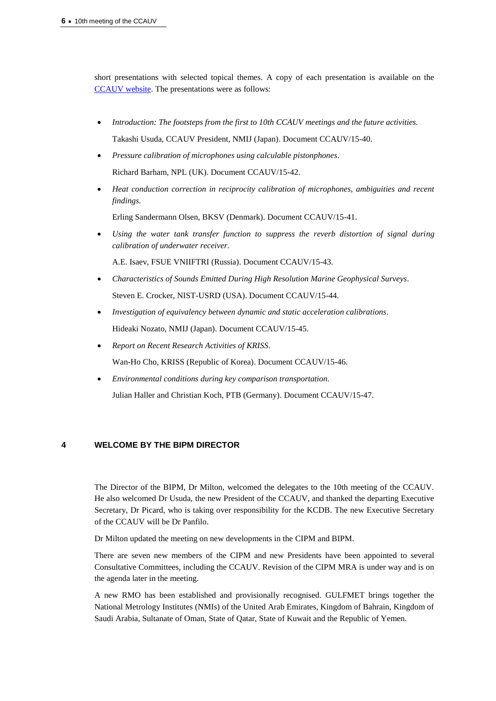short presentations with selected topical themes. A copy of each presentation is available on the [CCAUV website.](https://www.bipm.org/cc/CCAUV/Restricted/10/Workshop_Programme_2015_v6.pdf) The presentations were as follows:

- *Introduction: The footsteps from the first to 10th CCAUV meetings and the future activities.* Takashi Usuda, CCAUV President, NMIJ (Japan). Document CCAUV/15-40.
- *Pressure calibration of microphones using calculable pistonphones.* Richard Barham, NPL (UK). Document CCAUV/15-42.
- *Heat conduction correction in reciprocity calibration of microphones, ambiguities and recent findings.*

Erling Sandermann Olsen, BKSV (Denmark). Document CCAUV/15-41.

 *Using the water tank transfer function to suppress the reverb distortion of signal during calibration of underwater receiver.*

A.E. Isaev, FSUE VNIIFTRI (Russia). Document CCAUV/15-43.

- *Characteristics of Sounds Emitted During High Resolution Marine Geophysical Surveys.* Steven E. Crocker, NIST-USRD (USA). Document CCAUV/15-44.
- *Investigation of equivalency between dynamic and static acceleration calibrations.* Hideaki Nozato, NMIJ (Japan). Document CCAUV/15-45.
- *Report on Recent Research Activities of KRISS.*

Wan-Ho Cho, KRISS (Republic of Korea). Document CCAUV/15-46.

*Environmental conditions during key comparison transportation.*

Julian Haller and Christian Koch, PTB (Germany). Document CCAUV/15-47.

## **4 WELCOME BY THE BIPM DIRECTOR**

The Director of the BIPM, Dr Milton, welcomed the delegates to the 10th meeting of the CCAUV. He also welcomed Dr Usuda, the new President of the CCAUV, and thanked the departing Executive Secretary, Dr Picard, who is taking over responsibility for the KCDB. The new Executive Secretary of the CCAUV will be Dr Panfilo.

Dr Milton updated the meeting on new developments in the CIPM and BIPM.

There are seven new members of the CIPM and new Presidents have been appointed to several Consultative Committees, including the CCAUV. Revision of the CIPM MRA is under way and is on the agenda later in the meeting.

A new RMO has been established and provisionally recognised. GULFMET brings together the National Metrology Institutes (NMIs) of the United Arab Emirates, Kingdom of Bahrain, Kingdom of Saudi Arabia, Sultanate of Oman, State of Qatar, State of Kuwait and the Republic of Yemen.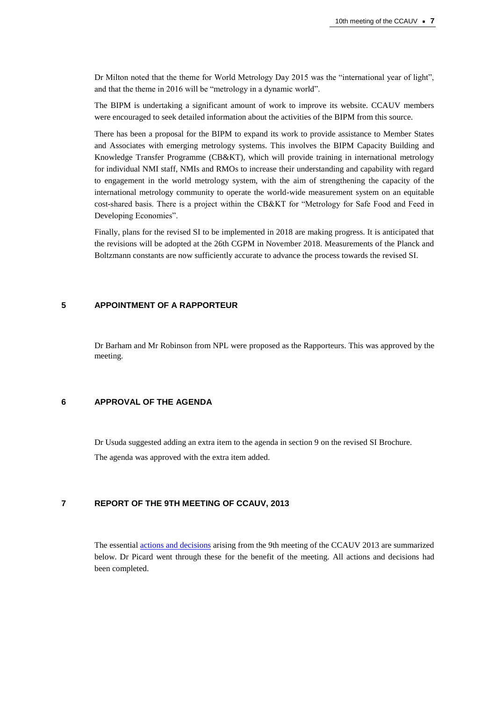Dr Milton noted that the theme for World Metrology Day 2015 was the "international year of light", and that the theme in 2016 will be "metrology in a dynamic world".

The BIPM is undertaking a significant amount of work to improve its website. CCAUV members were encouraged to seek detailed information about the activities of the BIPM from this source.

There has been a proposal for the BIPM to expand its work to provide assistance to Member States and Associates with emerging metrology systems. This involves the BIPM Capacity Building and Knowledge Transfer Programme (CB&KT), which will provide training in international metrology for individual NMI staff, NMIs and RMOs to increase their understanding and capability with regard to engagement in the world metrology system, with the aim of strengthening the capacity of the international metrology community to operate the world-wide measurement system on an equitable cost-shared basis. There is a project within the CB&KT for "Metrology for Safe Food and Feed in Developing Economies".

Finally, plans for the revised SI to be implemented in 2018 are making progress. It is anticipated that the revisions will be adopted at the 26th CGPM in November 2018. Measurements of the Planck and Boltzmann constants are now sufficiently accurate to advance the process towards the revised SI.

## **5 APPOINTMENT OF A RAPPORTEUR**

Dr Barham and Mr Robinson from NPL were proposed as the Rapporteurs. This was approved by the meeting.

## **6 APPROVAL OF THE AGENDA**

Dr Usuda suggested adding an extra item to the agenda in section 9 on the revised SI Brochure. The agenda was approved with the extra item added.

#### **7 REPORT OF THE 9TH MEETING OF CCAUV, 2013**

The essential [actions and decisions](https://www.bipm.org/cc/CCAUV/Allowed/Summary_reports/CCAUV-9_actions_and_decisions_Final_REV.pdf) arising from the 9th meeting of the CCAUV 2013 are summarized below. Dr Picard went through these for the benefit of the meeting. All actions and decisions had been completed.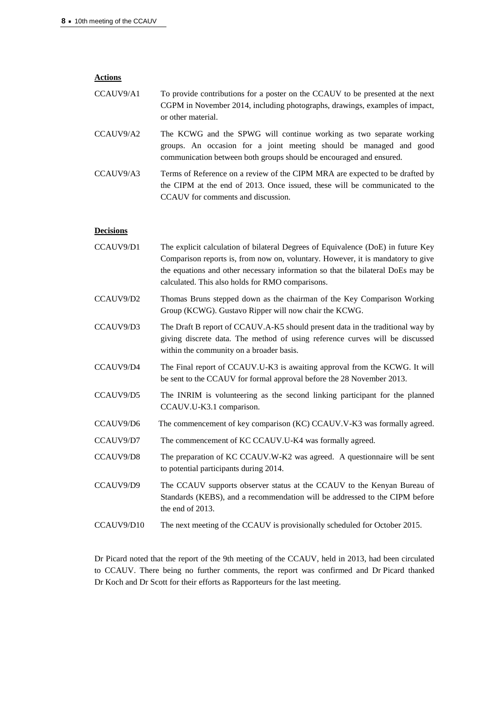| <b>Actions</b>   |                                                                                                                                                                                                                                                                                                            |
|------------------|------------------------------------------------------------------------------------------------------------------------------------------------------------------------------------------------------------------------------------------------------------------------------------------------------------|
| CCAUV9/A1        | To provide contributions for a poster on the CCAUV to be presented at the next<br>CGPM in November 2014, including photographs, drawings, examples of impact,<br>or other material.                                                                                                                        |
| CCAUV9/A2        | The KCWG and the SPWG will continue working as two separate working<br>groups. An occasion for a joint meeting should be managed and good<br>communication between both groups should be encouraged and ensured.                                                                                           |
| CCAUV9/A3        | Terms of Reference on a review of the CIPM MRA are expected to be drafted by<br>the CIPM at the end of 2013. Once issued, these will be communicated to the<br>CCAUV for comments and discussion.                                                                                                          |
| <b>Decisions</b> |                                                                                                                                                                                                                                                                                                            |
| CCAUV9/D1        | The explicit calculation of bilateral Degrees of Equivalence (DoE) in future Key<br>Comparison reports is, from now on, voluntary. However, it is mandatory to give<br>the equations and other necessary information so that the bilateral DoEs may be<br>calculated. This also holds for RMO comparisons. |

- CCAUV9/D2 Thomas Bruns stepped down as the chairman of the Key Comparison Working Group (KCWG). Gustavo Ripper will now chair the KCWG.
- CCAUV9/D3 The Draft B report of CCAUV.A-K5 should present data in the traditional way by giving discrete data. The method of using reference curves will be discussed within the community on a broader basis.
- CCAUV9/D4 The Final report of CCAUV.U-K3 is awaiting approval from the KCWG. It will be sent to the CCAUV for formal approval before the 28 November 2013.
- CCAUV9/D5 The INRIM is volunteering as the second linking participant for the planned CCAUV.U-K3.1 comparison.
- CCAUV9/D6 The commencement of key comparison (KC) CCAUV.V-K3 was formally agreed.
- CCAUV9/D7 The commencement of KC CCAUV.U-K4 was formally agreed.
- CCAUV9/D8 The preparation of KC CCAUV.W-K2 was agreed. A questionnaire will be sent to potential participants during 2014.
- CCAUV9/D9 The CCAUV supports observer status at the CCAUV to the Kenyan Bureau of Standards (KEBS), and a recommendation will be addressed to the CIPM before the end of 2013.
- CCAUV9/D10 The next meeting of the CCAUV is provisionally scheduled for October 2015.

Dr Picard noted that the report of the 9th meeting of the CCAUV, held in 2013, had been circulated to CCAUV. There being no further comments, the report was confirmed and Dr Picard thanked Dr Koch and Dr Scott for their efforts as Rapporteurs for the last meeting.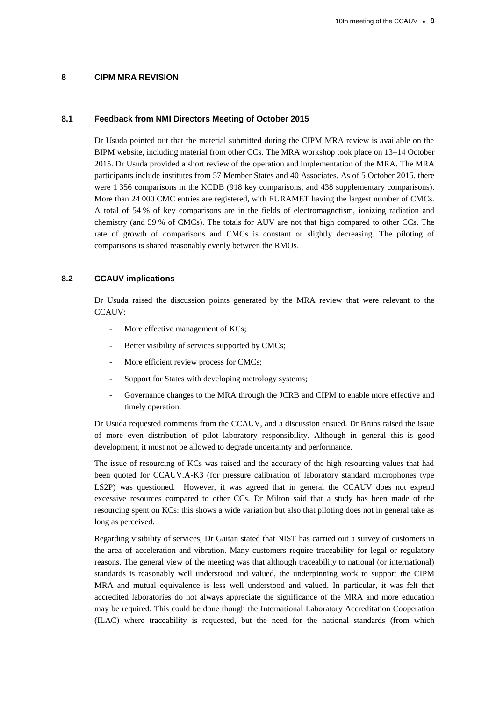#### **8 CIPM MRA REVISION**

#### **8.1 Feedback from NMI Directors Meeting of October 2015**

Dr Usuda pointed out that the material submitted during the CIPM MRA review is available on the BIPM website, including material from other CCs. The MRA workshop took place on 13–14 October 2015. Dr Usuda provided a short review of the operation and implementation of the MRA. The MRA participants include institutes from 57 Member States and 40 Associates. As of 5 October 2015, there were 1 356 comparisons in the KCDB (918 key comparisons, and 438 supplementary comparisons). More than 24 000 CMC entries are registered, with EURAMET having the largest number of CMCs. A total of 54 % of key comparisons are in the fields of electromagnetism, ionizing radiation and chemistry (and 59 % of CMCs). The totals for AUV are not that high compared to other CCs. The rate of growth of comparisons and CMCs is constant or slightly decreasing. The piloting of comparisons is shared reasonably evenly between the RMOs.

## **8.2 CCAUV implications**

Dr Usuda raised the discussion points generated by the MRA review that were relevant to the CCAUV:

- More effective management of KCs;
- Better visibility of services supported by CMCs;
- More efficient review process for CMCs;
- Support for States with developing metrology systems;
- Governance changes to the MRA through the JCRB and CIPM to enable more effective and timely operation.

Dr Usuda requested comments from the CCAUV, and a discussion ensued. Dr Bruns raised the issue of more even distribution of pilot laboratory responsibility. Although in general this is good development, it must not be allowed to degrade uncertainty and performance.

The issue of resourcing of KCs was raised and the accuracy of the high resourcing values that had been quoted for CCAUV.A-K3 (for pressure calibration of laboratory standard microphones type LS2P) was questioned. However, it was agreed that in general the CCAUV does not expend excessive resources compared to other CCs. Dr Milton said that a study has been made of the resourcing spent on KCs: this shows a wide variation but also that piloting does not in general take as long as perceived.

Regarding visibility of services, Dr Gaitan stated that NIST has carried out a survey of customers in the area of acceleration and vibration. Many customers require traceability for legal or regulatory reasons. The general view of the meeting was that although traceability to national (or international) standards is reasonably well understood and valued, the underpinning work to support the CIPM MRA and mutual equivalence is less well understood and valued. In particular, it was felt that accredited laboratories do not always appreciate the significance of the MRA and more education may be required. This could be done though the International Laboratory Accreditation Cooperation (ILAC) where traceability is requested, but the need for the national standards (from which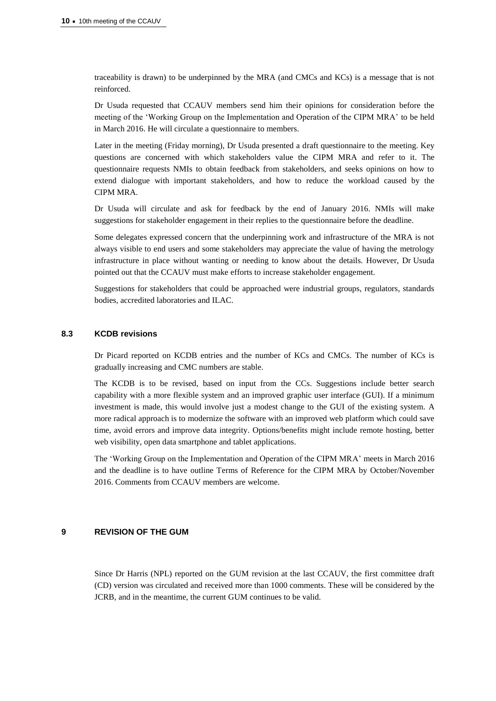traceability is drawn) to be underpinned by the MRA (and CMCs and KCs) is a message that is not reinforced.

Dr Usuda requested that CCAUV members send him their opinions for consideration before the meeting of the 'Working Group on the Implementation and Operation of the CIPM MRA' to be held in March 2016. He will circulate a questionnaire to members.

Later in the meeting (Friday morning), Dr Usuda presented a draft questionnaire to the meeting. Key questions are concerned with which stakeholders value the CIPM MRA and refer to it. The questionnaire requests NMIs to obtain feedback from stakeholders, and seeks opinions on how to extend dialogue with important stakeholders, and how to reduce the workload caused by the CIPM MRA.

Dr Usuda will circulate and ask for feedback by the end of January 2016. NMIs will make suggestions for stakeholder engagement in their replies to the questionnaire before the deadline.

Some delegates expressed concern that the underpinning work and infrastructure of the MRA is not always visible to end users and some stakeholders may appreciate the value of having the metrology infrastructure in place without wanting or needing to know about the details. However, Dr Usuda pointed out that the CCAUV must make efforts to increase stakeholder engagement.

Suggestions for stakeholders that could be approached were industrial groups, regulators, standards bodies, accredited laboratories and ILAC.

## **8.3 KCDB revisions**

Dr Picard reported on KCDB entries and the number of KCs and CMCs. The number of KCs is gradually increasing and CMC numbers are stable.

The KCDB is to be revised, based on input from the CCs. Suggestions include better search capability with a more flexible system and an improved graphic user interface (GUI). If a minimum investment is made, this would involve just a modest change to the GUI of the existing system. A more radical approach is to modernize the software with an improved web platform which could save time, avoid errors and improve data integrity. Options/benefits might include remote hosting, better web visibility, open data smartphone and tablet applications.

The 'Working Group on the Implementation and Operation of the CIPM MRA' meets in March 2016 and the deadline is to have outline Terms of Reference for the CIPM MRA by October/November 2016. Comments from CCAUV members are welcome.

#### **9 REVISION OF THE GUM**

Since Dr Harris (NPL) reported on the GUM revision at the last CCAUV, the first committee draft (CD) version was circulated and received more than 1000 comments. These will be considered by the JCRB, and in the meantime, the current GUM continues to be valid.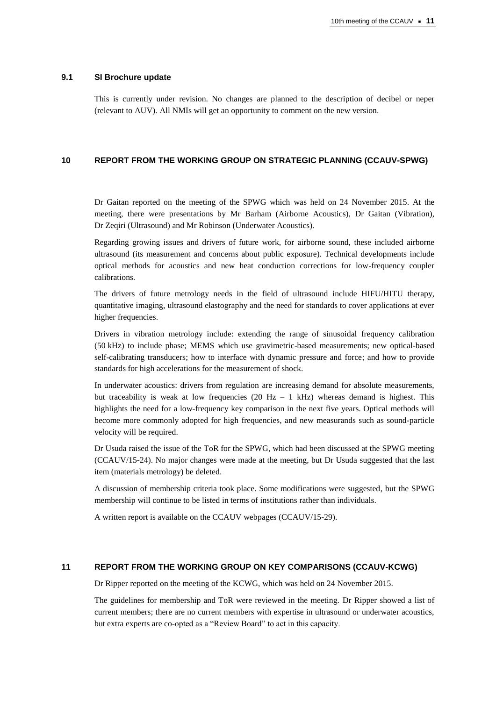#### **9.1 SI Brochure update**

This is currently under revision. No changes are planned to the description of decibel or neper (relevant to AUV). All NMIs will get an opportunity to comment on the new version.

## **10 REPORT FROM THE WORKING GROUP ON STRATEGIC PLANNING (CCAUV-SPWG)**

Dr Gaitan reported on the meeting of the SPWG which was held on 24 November 2015. At the meeting, there were presentations by Mr Barham (Airborne Acoustics), Dr Gaitan (Vibration), Dr Zeqiri (Ultrasound) and Mr Robinson (Underwater Acoustics).

Regarding growing issues and drivers of future work, for airborne sound, these included airborne ultrasound (its measurement and concerns about public exposure). Technical developments include optical methods for acoustics and new heat conduction corrections for low-frequency coupler calibrations.

The drivers of future metrology needs in the field of ultrasound include HIFU/HITU therapy, quantitative imaging, ultrasound elastography and the need for standards to cover applications at ever higher frequencies.

Drivers in vibration metrology include: extending the range of sinusoidal frequency calibration (50 kHz) to include phase; MEMS which use gravimetric-based measurements; new optical-based self-calibrating transducers; how to interface with dynamic pressure and force; and how to provide standards for high accelerations for the measurement of shock.

In underwater acoustics: drivers from regulation are increasing demand for absolute measurements, but traceability is weak at low frequencies  $(20 \text{ Hz} - 1 \text{ kHz})$  whereas demand is highest. This highlights the need for a low-frequency key comparison in the next five years. Optical methods will become more commonly adopted for high frequencies, and new measurands such as sound-particle velocity will be required.

Dr Usuda raised the issue of the ToR for the SPWG, which had been discussed at the SPWG meeting (CCAUV/15-24). No major changes were made at the meeting, but Dr Usuda suggested that the last item (materials metrology) be deleted.

A discussion of membership criteria took place. Some modifications were suggested, but the SPWG membership will continue to be listed in terms of institutions rather than individuals.

A written report is available on the CCAUV webpages (CCAUV/15-29).

## **11 REPORT FROM THE WORKING GROUP ON KEY COMPARISONS (CCAUV-KCWG)**

Dr Ripper reported on the meeting of the KCWG, which was held on 24 November 2015.

The guidelines for membership and ToR were reviewed in the meeting. Dr Ripper showed a list of current members; there are no current members with expertise in ultrasound or underwater acoustics, but extra experts are co-opted as a "Review Board" to act in this capacity.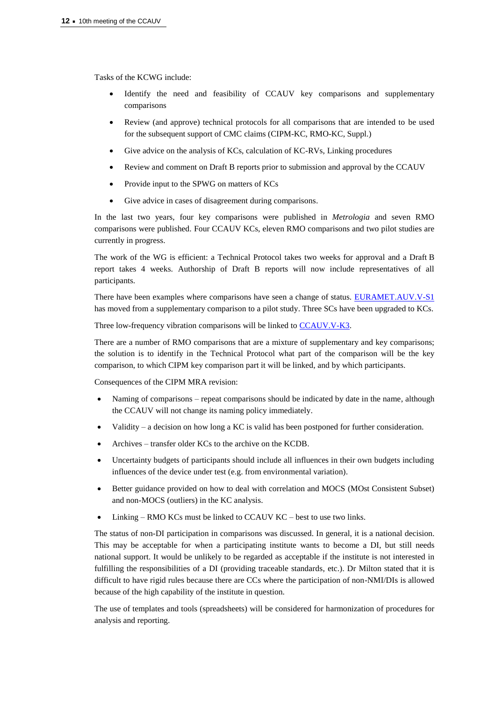Tasks of the KCWG include:

- Identify the need and feasibility of CCAUV key comparisons and supplementary comparisons
- Review (and approve) technical protocols for all comparisons that are intended to be used for the subsequent support of CMC claims (CIPM-KC, RMO-KC, Suppl.)
- Give advice on the analysis of KCs, calculation of KC-RVs, Linking procedures
- Review and comment on Draft B reports prior to submission and approval by the CCAUV
- Provide input to the SPWG on matters of KCs
- Give advice in cases of disagreement during comparisons.

In the last two years, four key comparisons were published in *Metrologia* and seven RMO comparisons were published. Four CCAUV KCs, eleven RMO comparisons and two pilot studies are currently in progress.

The work of the WG is efficient: a Technical Protocol takes two weeks for approval and a Draft B report takes 4 weeks. Authorship of Draft B reports will now include representatives of all participants.

There have been examples where comparisons have seen a change of status. **EURAMET.AUV.V-S1** has moved from a supplementary comparison to a pilot study. Three SCs have been upgraded to KCs.

Three low-frequency vibration comparisons will be linked to [CCAUV.V-K3.](http://kcdb.bipm.org/appendixB/KCDB_ApB_info.asp?cmp_idy=1356&cmp_cod=CCAUV.V-K3&prov=exalead)

There are a number of RMO comparisons that are a mixture of supplementary and key comparisons; the solution is to identify in the Technical Protocol what part of the comparison will be the key comparison, to which CIPM key comparison part it will be linked, and by which participants.

Consequences of the CIPM MRA revision:

- Naming of comparisons repeat comparisons should be indicated by date in the name, although the CCAUV will not change its naming policy immediately.
- Validity a decision on how long a KC is valid has been postponed for further consideration.
- Archives transfer older KCs to the archive on the KCDB.
- Uncertainty budgets of participants should include all influences in their own budgets including influences of the device under test (e.g. from environmental variation).
- Better guidance provided on how to deal with correlation and MOCS (MOst Consistent Subset) and non-MOCS (outliers) in the KC analysis.
- Linking RMO KCs must be linked to CCAUV KC best to use two links.

The status of non-DI participation in comparisons was discussed. In general, it is a national decision. This may be acceptable for when a participating institute wants to become a DI, but still needs national support. It would be unlikely to be regarded as acceptable if the institute is not interested in fulfilling the responsibilities of a DI (providing traceable standards, etc.). Dr Milton stated that it is difficult to have rigid rules because there are CCs where the participation of non-NMI/DIs is allowed because of the high capability of the institute in question.

The use of templates and tools (spreadsheets) will be considered for harmonization of procedures for analysis and reporting.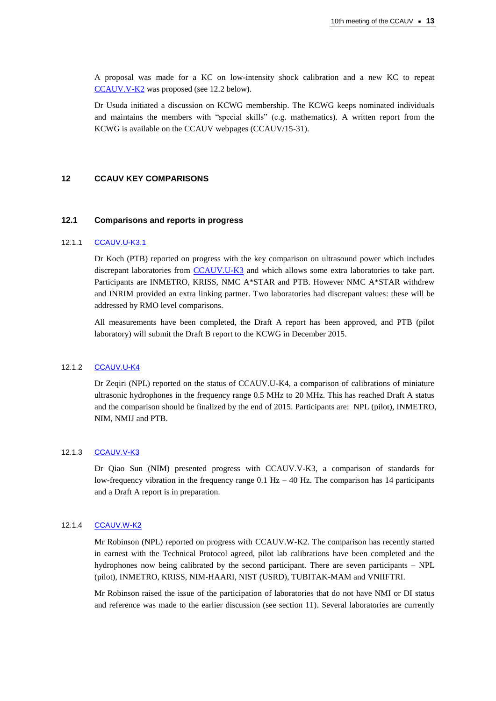A proposal was made for a KC on low-intensity shock calibration and a new KC to repeat [CCAUV.V-K2](http://kcdb.bipm.org/appendixB/KCDB_ApB_info.asp?cmp_idy=959&cmp_cod=CCAUV.V-K2&prov=exalead) was proposed (see 12.2 below).

Dr Usuda initiated a discussion on KCWG membership. The KCWG keeps nominated individuals and maintains the members with "special skills" (e.g. mathematics). A written report from the KCWG is available on the CCAUV webpages (CCAUV/15-31).

## **12 CCAUV KEY COMPARISONS**

#### **12.1 Comparisons and reports in progress**

## 12.1.1 [CCAUV.U-K3.1](http://kcdb.bipm.org/appendixB/KCDB_ApB_info.asp?cmp_idy=1357&cmp_cod=CCAUV.U-K3.1&prov=exalead)

Dr Koch (PTB) reported on progress with the key comparison on ultrasound power which includes discrepant laboratories from [CCAUV.U-K3](http://kcdb.bipm.org/appendixB/KCDB_ApB_info.asp?cmp_idy=867&cmp_cod=CCAUV.U-K3&prov=exalead) and which allows some extra laboratories to take part. Participants are INMETRO, KRISS, NMC A\*STAR and PTB. However NMC A\*STAR withdrew and INRIM provided an extra linking partner. Two laboratories had discrepant values: these will be addressed by RMO level comparisons.

All measurements have been completed, the Draft A report has been approved, and PTB (pilot laboratory) will submit the Draft B report to the KCWG in December 2015.

## 12.1.2 [CCAUV.U-K4](http://kcdb.bipm.org/appendixB/KCDB_ApB_info.asp?cmp_idy=1094&cmp_cod=CCAUV.U-K4&prov=exalead)

Dr Zeqiri (NPL) reported on the status of CCAUV.U-K4, a comparison of calibrations of miniature ultrasonic hydrophones in the frequency range 0.5 MHz to 20 MHz. This has reached Draft A status and the comparison should be finalized by the end of 2015. Participants are: NPL (pilot), INMETRO, NIM, NMIJ and PTB.

## 12.1.3 [CCAUV.V-K3](http://kcdb.bipm.org/appendixB/KCDB_ApB_info.asp?cmp_idy=1356&cmp_cod=CCAUV.V-K3&prov=exalead)

Dr Qiao Sun (NIM) presented progress with CCAUV.V-K3, a comparison of standards for low-frequency vibration in the frequency range  $0.1$  Hz  $-$  40 Hz. The comparison has 14 participants and a Draft A report is in preparation.

#### 12.1.4 [CCAUV.W-K2](http://kcdb.bipm.org/appendixB/KCDB_ApB_info.asp?cmp_idy=1375&cmp_cod=CCAUV.W-K2&prov=exalead)

Mr Robinson (NPL) reported on progress with CCAUV.W-K2. The comparison has recently started in earnest with the Technical Protocol agreed, pilot lab calibrations have been completed and the hydrophones now being calibrated by the second participant. There are seven participants – NPL (pilot), INMETRO, KRISS, NIM-HAARI, NIST (USRD), TUBITAK-MAM and VNIIFTRI.

Mr Robinson raised the issue of the participation of laboratories that do not have NMI or DI status and reference was made to the earlier discussion (see section 11). Several laboratories are currently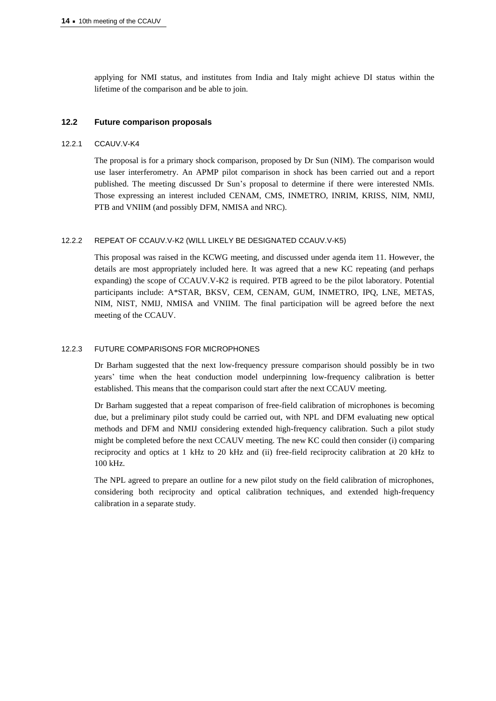applying for NMI status, and institutes from India and Italy might achieve DI status within the lifetime of the comparison and be able to join.

## **12.2 Future comparison proposals**

#### 12.2.1 CCAUV.V-K4

The proposal is for a primary shock comparison, proposed by Dr Sun (NIM). The comparison would use laser interferometry. An APMP pilot comparison in shock has been carried out and a report published. The meeting discussed Dr Sun's proposal to determine if there were interested NMIs. Those expressing an interest included CENAM, CMS, INMETRO, INRIM, KRISS, NIM, NMIJ, PTB and VNIIM (and possibly DFM, NMISA and NRC).

#### 12.2.2 REPEAT OF CCAUV.V-K2 (WILL LIKELY BE DESIGNATED CCAUV.V-K5)

This proposal was raised in the KCWG meeting, and discussed under agenda item 11. However, the details are most appropriately included here. It was agreed that a new KC repeating (and perhaps expanding) the scope of CCAUV.V-K2 is required. PTB agreed to be the pilot laboratory. Potential participants include: A\*STAR, BKSV, CEM, CENAM, GUM, INMETRO, IPQ, LNE, METAS, NIM, NIST, NMIJ, NMISA and VNIIM. The final participation will be agreed before the next meeting of the CCAUV.

#### 12.2.3 FUTURE COMPARISONS FOR MICROPHONES

Dr Barham suggested that the next low-frequency pressure comparison should possibly be in two years' time when the heat conduction model underpinning low-frequency calibration is better established. This means that the comparison could start after the next CCAUV meeting.

Dr Barham suggested that a repeat comparison of free-field calibration of microphones is becoming due, but a preliminary pilot study could be carried out, with NPL and DFM evaluating new optical methods and DFM and NMIJ considering extended high-frequency calibration. Such a pilot study might be completed before the next CCAUV meeting. The new KC could then consider (i) comparing reciprocity and optics at 1 kHz to 20 kHz and (ii) free-field reciprocity calibration at 20 kHz to 100 kHz.

The NPL agreed to prepare an outline for a new pilot study on the field calibration of microphones, considering both reciprocity and optical calibration techniques, and extended high-frequency calibration in a separate study.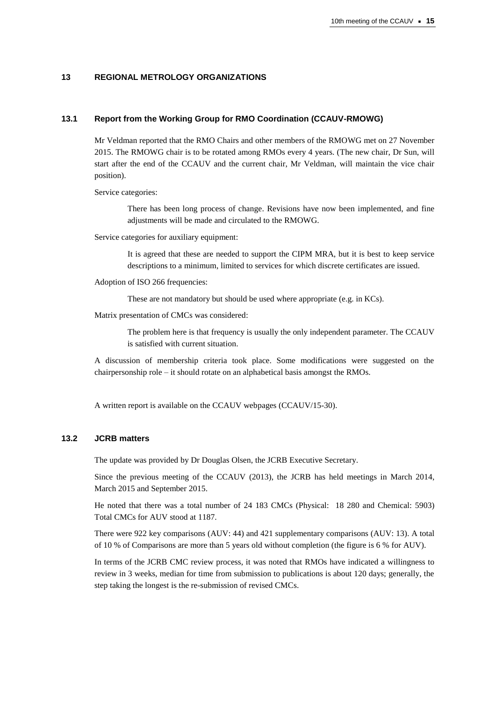## **13 REGIONAL METROLOGY ORGANIZATIONS**

#### **13.1 Report from the Working Group for RMO Coordination (CCAUV-RMOWG)**

Mr Veldman reported that the RMO Chairs and other members of the RMOWG met on 27 November 2015. The RMOWG chair is to be rotated among RMOs every 4 years. (The new chair, Dr Sun, will start after the end of the CCAUV and the current chair, Mr Veldman, will maintain the vice chair position).

Service categories:

There has been long process of change. Revisions have now been implemented, and fine adjustments will be made and circulated to the RMOWG.

Service categories for auxiliary equipment:

It is agreed that these are needed to support the CIPM MRA, but it is best to keep service descriptions to a minimum, limited to services for which discrete certificates are issued.

Adoption of ISO 266 frequencies:

These are not mandatory but should be used where appropriate (e.g. in KCs).

Matrix presentation of CMCs was considered:

The problem here is that frequency is usually the only independent parameter. The CCAUV is satisfied with current situation.

A discussion of membership criteria took place. Some modifications were suggested on the chairpersonship role – it should rotate on an alphabetical basis amongst the RMOs.

A written report is available on the CCAUV webpages (CCAUV/15-30).

## **13.2 JCRB matters**

The update was provided by Dr Douglas Olsen, the JCRB Executive Secretary.

Since the previous meeting of the CCAUV (2013), the JCRB has held meetings in March 2014, March 2015 and September 2015.

He noted that there was a total number of 24 183 CMCs (Physical: 18 280 and Chemical: 5903) Total CMCs for AUV stood at 1187.

There were 922 key comparisons (AUV: 44) and 421 supplementary comparisons (AUV: 13). A total of 10 % of Comparisons are more than 5 years old without completion (the figure is 6 % for AUV).

In terms of the JCRB CMC review process, it was noted that RMOs have indicated a willingness to review in 3 weeks, median for time from submission to publications is about 120 days; generally, the step taking the longest is the re-submission of revised CMCs.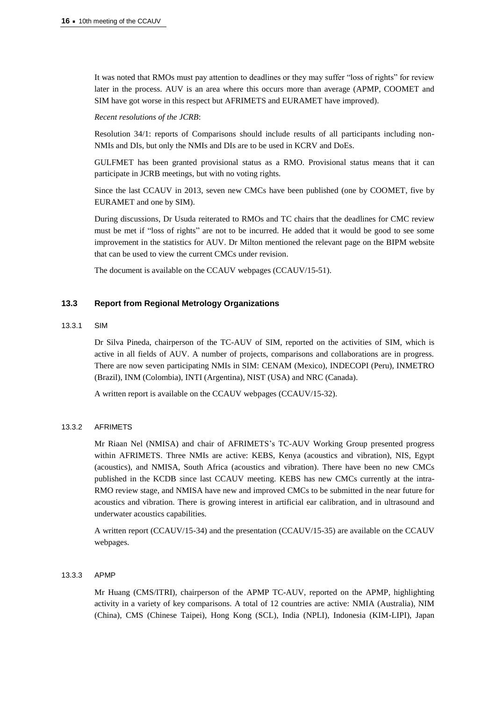It was noted that RMOs must pay attention to deadlines or they may suffer "loss of rights" for review later in the process. AUV is an area where this occurs more than average (APMP, COOMET and SIM have got worse in this respect but AFRIMETS and EURAMET have improved).

*Recent resolutions of the JCRB*:

Resolution 34/1: reports of Comparisons should include results of all participants including non-NMIs and DIs, but only the NMIs and DIs are to be used in KCRV and DoEs.

GULFMET has been granted provisional status as a RMO. Provisional status means that it can participate in JCRB meetings, but with no voting rights.

Since the last CCAUV in 2013, seven new CMCs have been published (one by COOMET, five by EURAMET and one by SIM).

During discussions, Dr Usuda reiterated to RMOs and TC chairs that the deadlines for CMC review must be met if "loss of rights" are not to be incurred. He added that it would be good to see some improvement in the statistics for AUV. Dr Milton mentioned the relevant page on the BIPM website that can be used to view the current CMCs under revision.

The document is available on the CCAUV webpages (CCAUV/15-51).

## **13.3 Report from Regional Metrology Organizations**

## 13.3.1 SIM

Dr Silva Pineda, chairperson of the TC-AUV of SIM, reported on the activities of SIM, which is active in all fields of AUV. A number of projects, comparisons and collaborations are in progress. There are now seven participating NMIs in SIM: CENAM (Mexico), INDECOPI (Peru), INMETRO (Brazil), INM (Colombia), INTI (Argentina), NIST (USA) and NRC (Canada).

A written report is available on the CCAUV webpages (CCAUV/15-32).

## 13.3.2 AFRIMETS

Mr Riaan Nel (NMISA) and chair of AFRIMETS's TC-AUV Working Group presented progress within AFRIMETS. Three NMIs are active: KEBS, Kenya (acoustics and vibration), NIS, Egypt (acoustics), and NMISA, South Africa (acoustics and vibration). There have been no new CMCs published in the KCDB since last CCAUV meeting. KEBS has new CMCs currently at the intra-RMO review stage, and NMISA have new and improved CMCs to be submitted in the near future for acoustics and vibration. There is growing interest in artificial ear calibration, and in ultrasound and underwater acoustics capabilities.

A written report (CCAUV/15-34) and the presentation (CCAUV/15-35) are available on the CCAUV webpages.

#### 13.3.3 APMP

Mr Huang (CMS/ITRI), chairperson of the APMP TC-AUV, reported on the APMP, highlighting activity in a variety of key comparisons. A total of 12 countries are active: NMIA (Australia), NIM (China), CMS (Chinese Taipei), Hong Kong (SCL), India (NPLI), Indonesia (KIM-LIPI), Japan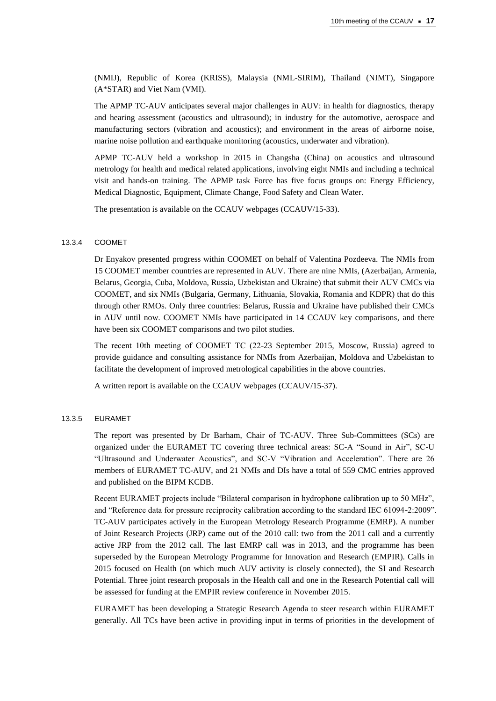(NMIJ), Republic of Korea (KRISS), Malaysia (NML-SIRIM), Thailand (NIMT), Singapore (A\*STAR) and Viet Nam (VMI).

The APMP TC-AUV anticipates several major challenges in AUV: in health for diagnostics, therapy and hearing assessment (acoustics and ultrasound); in industry for the automotive, aerospace and manufacturing sectors (vibration and acoustics); and environment in the areas of airborne noise, marine noise pollution and earthquake monitoring (acoustics, underwater and vibration).

APMP TC-AUV held a workshop in 2015 in Changsha (China) on acoustics and ultrasound metrology for health and medical related applications, involving eight NMIs and including a technical visit and hands-on training. The APMP task Force has five focus groups on: Energy Efficiency, Medical Diagnostic, Equipment, Climate Change, Food Safety and Clean Water.

The presentation is available on the CCAUV webpages (CCAUV/15-33).

#### 13.3.4 COOMET

Dr Enyakov presented progress within COOMET on behalf of Valentina Pozdeeva. The NMIs from 15 COOMET member countries are represented in AUV. There are nine NMIs, (Azerbaijan, Armenia, Belarus, Georgia, Cuba, Moldova, Russia, Uzbekistan and Ukraine) that submit their AUV CMCs via COOMET, and six NMIs (Bulgaria, Germany, Lithuania, Slovakia, Romania and KDPR) that do this through other RMOs. Only three countries: Belarus, Russia and Ukraine have published their CMCs in AUV until now. COOMET NMIs have participated in 14 CCAUV key comparisons, and there have been six COOMET comparisons and two pilot studies.

The recent 10th meeting of CООМЕТ ТC (22-23 September 2015, Moscow, Russia) agreed to provide guidance and consulting assistance for NMIs from Azerbaijan, Moldova and Uzbekistan to facilitate the development of improved metrological capabilities in the above countries.

A written report is available on the CCAUV webpages (CCAUV/15-37).

#### 13.3.5 EURAMET

The report was presented by Dr Barham, Chair of TC-AUV. Three Sub-Committees (SCs) are organized under the EURAMET TC covering three technical areas: SC-A "Sound in Air", SC-U "Ultrasound and Underwater Acoustics", and SC-V "Vibration and Acceleration". There are 26 members of EURAMET TC-AUV, and 21 NMIs and DIs have a total of 559 CMC entries approved and published on the BIPM KCDB.

Recent EURAMET projects include "Bilateral comparison in hydrophone calibration up to 50 MHz", and "Reference data for pressure reciprocity calibration according to the standard IEC 61094-2:2009". TC-AUV participates actively in the European Metrology Research Programme (EMRP). A number of Joint Research Projects (JRP) came out of the 2010 call: two from the 2011 call and a currently active JRP from the 2012 call. The last EMRP call was in 2013, and the programme has been superseded by the European Metrology Programme for Innovation and Research (EMPIR). Calls in 2015 focused on Health (on which much AUV activity is closely connected), the SI and Research Potential. Three joint research proposals in the Health call and one in the Research Potential call will be assessed for funding at the EMPIR review conference in November 2015.

EURAMET has been developing a Strategic Research Agenda to steer research within EURAMET generally. All TCs have been active in providing input in terms of priorities in the development of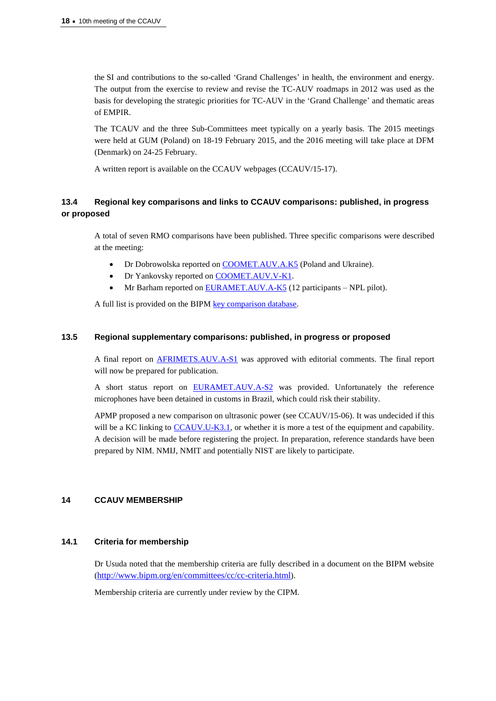the SI and contributions to the so-called 'Grand Challenges' in health, the environment and energy. The output from the exercise to review and revise the TC-AUV roadmaps in 2012 was used as the basis for developing the strategic priorities for TC-AUV in the 'Grand Challenge' and thematic areas of EMPIR.

The TCAUV and the three Sub-Committees meet typically on a yearly basis. The 2015 meetings were held at GUM (Poland) on 18-19 February 2015, and the 2016 meeting will take place at DFM (Denmark) on 24-25 February.

A written report is available on the CCAUV webpages (CCAUV/15-17).

# **13.4 Regional key comparisons and links to CCAUV comparisons: published, in progress or proposed**

A total of seven RMO comparisons have been published. Three specific comparisons were described at the meeting:

- Dr Dobrowolska reported on [COOMET.AUV.A.K5](http://kcdb.bipm.org/AppendixB/KCDB_ApB_info.asp?cmp_idy=1502&cmp_cod=COOMET.AUV.A-K5&page=7&search=1&cmp_cod_search=&met_idy=1&bra_idy=0&epo_idy=0&cmt_idy=0&ett_idy_org=0&lab_idy=&cou_cod=0) (Poland and Ukraine).
- Dr Yankovsky reported on [COOMET.AUV.V-K1.](http://kcdb.bipm.org/AppendixB/KCDB_ApB_info.asp?cmp_idy=700&cmp_cod=COOMET.AUV.V-K1&page=8&search=1&cmp_cod_search=&met_idy=1&bra_idy=0&epo_idy=0&cmt_idy=0&ett_idy_org=0&lab_idy=&cou_cod=0)
- Mr Barham reported on **EURAMET.AUV.A-K5** (12 participants NPL pilot).

A full list is provided on the BIP[M key comparison database.](http://kcdb.bipm.org/AppendixB/KCDB_ApB_search_result.asp?search=1&met_idy=1&bra_idy=0&cmt_idy=0&ett_idy_org=0&epo_idy=0&cou_cod=0)

## **13.5 Regional supplementary comparisons: published, in progress or proposed**

A final report on [AFRIMETS.AUV.A-S1](http://kcdb.bipm.org/AppendixB/KCDB_ApB_info.asp?cmp_idy=1283&cmp_cod=AFRIMETS.AUV.A-S1&page=4&search=1&cmp_cod_search=&met_idy=1&bra_idy=0&epo_idy=0&cmt_idy=0&ett_idy_org=0&lab_idy=&cou_cod=0) was approved with editorial comments. The final report will now be prepared for publication.

A short status report on [EURAMET.AUV.A-S2](http://kcdb.bipm.org/AppendixB/KCDB_ApB_info.asp?cmp_idy=1352&cmp_cod=EURAMET.AUV.A-S2&page=9&search=1&cmp_cod_search=&met_idy=1&bra_idy=0&epo_idy=0&cmt_idy=0&ett_idy_org=0&lab_idy=&cou_cod=0) was provided. Unfortunately the reference microphones have been detained in customs in Brazil, which could risk their stability.

APMP proposed a new comparison on ultrasonic power (see CCAUV/15-06). It was undecided if this will be a KC linking to [CCAUV.U-K3.1,](http://kcdb.bipm.org/AppendixB/KCDB_ApB_info.asp?cmp_idy=1357&cmp_cod=CCAUV.U-K3.1&page=2&search=1&cmp_cod_search=&met_idy=1&bra_idy=0&epo_idy=0&cmt_idy=0&ett_idy_org=0&lab_idy=&cou_cod=0) or whether it is more a test of the equipment and capability. A decision will be made before registering the project. In preparation, reference standards have been prepared by NIM. NMIJ, NMIT and potentially NIST are likely to participate.

## **14 CCAUV MEMBERSHIP**

## **14.1 Criteria for membership**

Dr Usuda noted that the membership criteria are fully described in a document on the BIPM website ([http://www.bipm.org/en/committees/cc/cc-criteria.html](https://www.bipm.org/en/committees/cc/cc-criteria.html)).

Membership criteria are currently under review by the CIPM.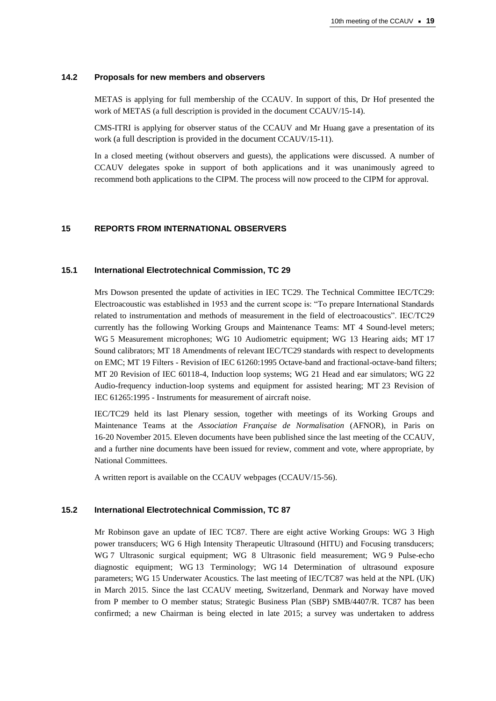#### **14.2 Proposals for new members and observers**

METAS is applying for full membership of the CCAUV. In support of this, Dr Hof presented the work of METAS (a full description is provided in the document CCAUV/15-14).

CMS-ITRI is applying for observer status of the CCAUV and Mr Huang gave a presentation of its work (a full description is provided in the document CCAUV/15-11).

In a closed meeting (without observers and guests), the applications were discussed. A number of CCAUV delegates spoke in support of both applications and it was unanimously agreed to recommend both applications to the CIPM. The process will now proceed to the CIPM for approval.

## **15 REPORTS FROM INTERNATIONAL OBSERVERS**

#### **15.1 International Electrotechnical Commission, TC 29**

Mrs Dowson presented the update of activities in IEC TC29. The Technical Committee IEC/TC29: Electroacoustic was established in 1953 and the current scope is: "To prepare International Standards related to instrumentation and methods of measurement in the field of electroacoustics". IEC/TC29 currently has the following Working Groups and Maintenance Teams: MT 4 Sound-level meters; WG 5 Measurement microphones; WG 10 Audiometric equipment; WG 13 Hearing aids; MT 17 Sound calibrators; MT 18 Amendments of relevant IEC/TC29 standards with respect to developments on EMC; MT 19 Filters - Revision of IEC 61260:1995 Octave-band and fractional-octave-band filters; MT 20 Revision of IEC 60118-4, Induction loop systems; WG 21 Head and ear simulators; WG 22 Audio-frequency induction-loop systems and equipment for assisted hearing; MT 23 Revision of IEC 61265:1995 - Instruments for measurement of aircraft noise.

IEC/TC29 held its last Plenary session, together with meetings of its Working Groups and Maintenance Teams at the *Association Française de Normalisation* (AFNOR), in Paris on 16-20 November 2015. Eleven documents have been published since the last meeting of the CCAUV, and a further nine documents have been issued for review, comment and vote, where appropriate, by National Committees.

A written report is available on the CCAUV webpages (CCAUV/15-56).

#### **15.2 International Electrotechnical Commission, TC 87**

Mr Robinson gave an update of IEC TC87. There are eight active Working Groups: WG 3 High power transducers; WG 6 High Intensity Therapeutic Ultrasound (HITU) and Focusing transducers; WG 7 Ultrasonic surgical equipment; WG 8 Ultrasonic field measurement; WG 9 Pulse-echo diagnostic equipment; WG 13 Terminology; WG 14 Determination of ultrasound exposure parameters; WG 15 Underwater Acoustics. The last meeting of IEC/TC87 was held at the NPL (UK) in March 2015. Since the last CCAUV meeting, Switzerland, Denmark and Norway have moved from P member to O member status; Strategic Business Plan (SBP) SMB/4407/R. TC87 has been confirmed; a new Chairman is being elected in late 2015; a survey was undertaken to address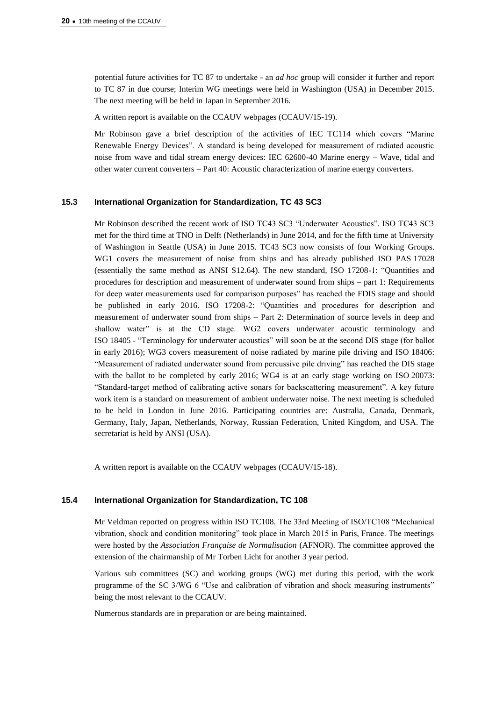potential future activities for TC 87 to undertake - an *ad hoc* group will consider it further and report to TC 87 in due course; Interim WG meetings were held in Washington (USA) in December 2015. The next meeting will be held in Japan in September 2016.

A written report is available on the CCAUV webpages (CCAUV/15-19).

Mr Robinson gave a brief description of the activities of IEC TC114 which covers "Marine Renewable Energy Devices". A standard is being developed for measurement of radiated acoustic noise from wave and tidal stream energy devices: IEC 62600-40 Marine energy – Wave, tidal and other water current converters – Part 40: Acoustic characterization of marine energy converters.

#### **15.3 International Organization for Standardization, TC 43 SC3**

Mr Robinson described the recent work of ISO TC43 SC3 "Underwater Acoustics". ISO TC43 SC3 met for the third time at TNO in Delft (Netherlands) in June 2014, and for the fifth time at University of Washington in Seattle (USA) in June 2015. TC43 SC3 now consists of four Working Groups. WG1 covers the measurement of noise from ships and has already published ISO PAS 17028 (essentially the same method as ANSI S12.64). The new standard, ISO 17208-1: "Quantities and procedures for description and measurement of underwater sound from ships – part 1: Requirements for deep water measurements used for comparison purposes" has reached the FDIS stage and should be published in early 2016. ISO 17208-2: "Quantities and procedures for description and measurement of underwater sound from ships – Part 2: Determination of source levels in deep and shallow water" is at the CD stage. WG2 covers underwater acoustic terminology and ISO 18405 - "Terminology for underwater acoustics" will soon be at the second DIS stage (for ballot in early 2016); WG3 covers measurement of noise radiated by marine pile driving and ISO 18406: "Measurement of radiated underwater sound from percussive pile driving" has reached the DIS stage with the ballot to be completed by early 2016; WG4 is at an early stage working on ISO 20073: "Standard-target method of calibrating active sonars for backscattering measurement". A key future work item is a standard on measurement of ambient underwater noise. The next meeting is scheduled to be held in London in June 2016. Participating countries are: Australia, Canada, Denmark, Germany, Italy, Japan, Netherlands, Norway, Russian Federation, United Kingdom, and USA. The secretariat is held by ANSI (USA).

A written report is available on the CCAUV webpages (CCAUV/15-18).

#### **15.4 International Organization for Standardization, TC 108**

Mr Veldman reported on progress within ISO TC108. The 33rd Meeting of ISO/TC108 "Mechanical vibration, shock and condition monitoring" took place in March 2015 in Paris, France. The meetings were hosted by the *Association Française de Normalisation* (AFNOR). The committee approved the extension of the chairmanship of Mr Torben Licht for another 3 year period.

Various sub committees (SC) and working groups (WG) met during this period, with the work programme of the SC 3/WG 6 "Use and calibration of vibration and shock measuring instruments" being the most relevant to the CCAUV.

Numerous standards are in preparation or are being maintained.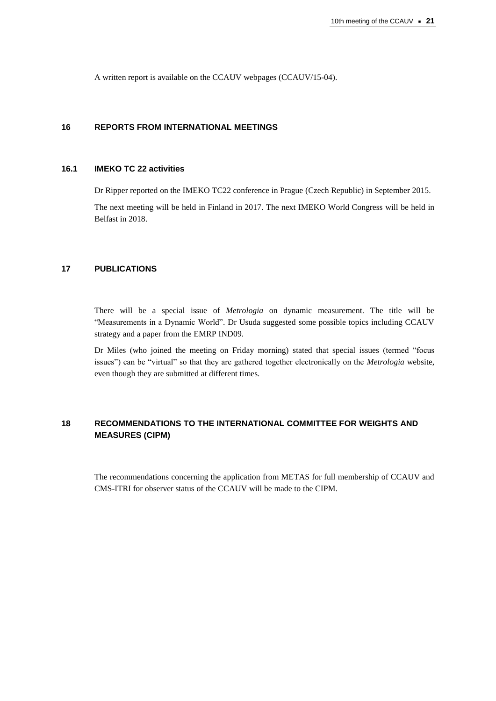A written report is available on the CCAUV webpages (CCAUV/15-04).

## **16 REPORTS FROM INTERNATIONAL MEETINGS**

## **16.1 IMEKO TC 22 activities**

Dr Ripper reported on the IMEKO TC22 conference in Prague (Czech Republic) in September 2015.

The next meeting will be held in Finland in 2017. The next IMEKO World Congress will be held in Belfast in 2018.

## **17 PUBLICATIONS**

There will be a special issue of *Metrologia* on dynamic measurement. The title will be "Measurements in a Dynamic World". Dr Usuda suggested some possible topics including CCAUV strategy and a paper from the EMRP IND09.

Dr Miles (who joined the meeting on Friday morning) stated that special issues (termed "focus issues") can be "virtual" so that they are gathered together electronically on the *Metrologia* website, even though they are submitted at different times.

# **18 RECOMMENDATIONS TO THE INTERNATIONAL COMMITTEE FOR WEIGHTS AND MEASURES (CIPM)**

The recommendations concerning the application from METAS for full membership of CCAUV and CMS-ITRI for observer status of the CCAUV will be made to the CIPM.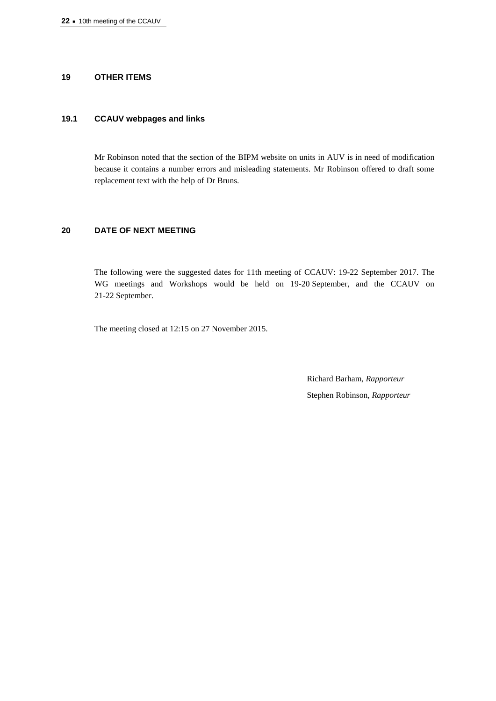## **19 OTHER ITEMS**

## **19.1 CCAUV webpages and links**

Mr Robinson noted that the section of the BIPM website on units in AUV is in need of modification because it contains a number errors and misleading statements. Mr Robinson offered to draft some replacement text with the help of Dr Bruns.

## **20 DATE OF NEXT MEETING**

The following were the suggested dates for 11th meeting of CCAUV: 19-22 September 2017. The WG meetings and Workshops would be held on 19-20 September, and the CCAUV on 21-22 September.

The meeting closed at 12:15 on 27 November 2015.

Richard Barham, *Rapporteur* Stephen Robinson, *Rapporteur*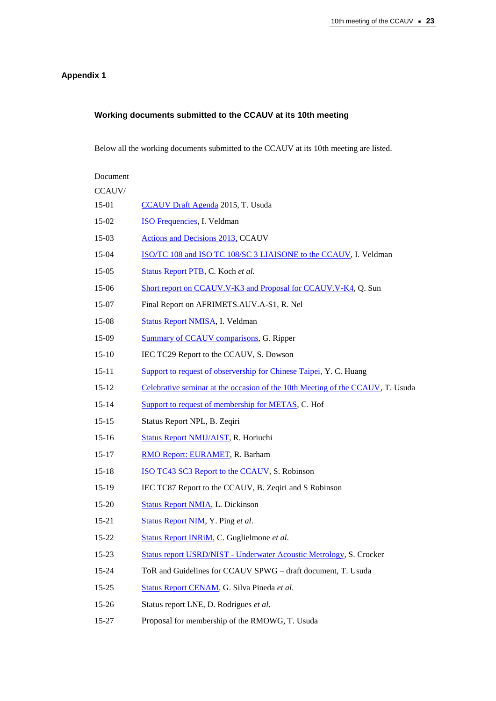# **Appendix 1**

# **Working documents submitted to the CCAUV at its 10th meeting**

Below all the working documents submitted to the CCAUV at its 10th meeting are listed.

| Document  |                                                                                |
|-----------|--------------------------------------------------------------------------------|
| CCAUV/    |                                                                                |
| 15-01     | <b>CCAUV Draft Agenda</b> 2015, T. Usuda                                       |
| $15-02$   | <b>ISO Frequencies, I. Veldman</b>                                             |
| $15-03$   | <b>Actions and Decisions 2013, CCAUV</b>                                       |
| $15-04$   | ISO/TC 108 and ISO TC 108/SC 3 LIAISONE to the CCAUV, I. Veldman               |
| $15-05$   | Status Report PTB, C. Koch et al.                                              |
| $15-06$   | Short report on CCAUV.V-K3 and Proposal for CCAUV.V-K4, Q. Sun                 |
| 15-07     | Final Report on AFRIMETS.AUV.A-S1, R. Nel                                      |
| $15-08$   | <b>Status Report NMISA, I. Veldman</b>                                         |
| $15-09$   | <b>Summary of CCAUV comparisons, G. Ripper</b>                                 |
| $15-10$   | IEC TC29 Report to the CCAUV, S. Dowson                                        |
| $15 - 11$ | Support to request of observership for Chinese Taipei, Y. C. Huang             |
| $15 - 12$ | Celebrative seminar at the occasion of the 10th Meeting of the CCAUV, T. Usuda |
| $15-14$   | Support to request of membership for METAS, C. Hof                             |
| $15 - 15$ | Status Report NPL, B. Zeqiri                                                   |
| $15-16$   | Status Report NMIJ/AIST, R. Horiuchi                                           |
| $15-17$   | RMO Report: EURAMET, R. Barham                                                 |
| $15-18$   | ISO TC43 SC3 Report to the CCAUV, S. Robinson                                  |
| $15-19$   | IEC TC87 Report to the CCAUV, B. Zeqiri and S Robinson                         |
| $15 - 20$ | <b>Status Report NMIA, L. Dickinson</b>                                        |
| $15 - 21$ | Status Report NIM, Y. Ping et al.                                              |
| $15 - 22$ | Status Report INRiM, C. Guglielmone et al.                                     |
| $15 - 23$ | <b>Status report USRD/NIST - Underwater Acoustic Metrology, S. Crocker</b>     |
| $15 - 24$ | ToR and Guidelines for CCAUV SPWG - draft document, T. Usuda                   |
| $15 - 25$ | Status Report CENAM, G. Silva Pineda et al.                                    |
| $15 - 26$ | Status report LNE, D. Rodrigues et al.                                         |
| 15-27     | Proposal for membership of the RMOWG, T. Usuda                                 |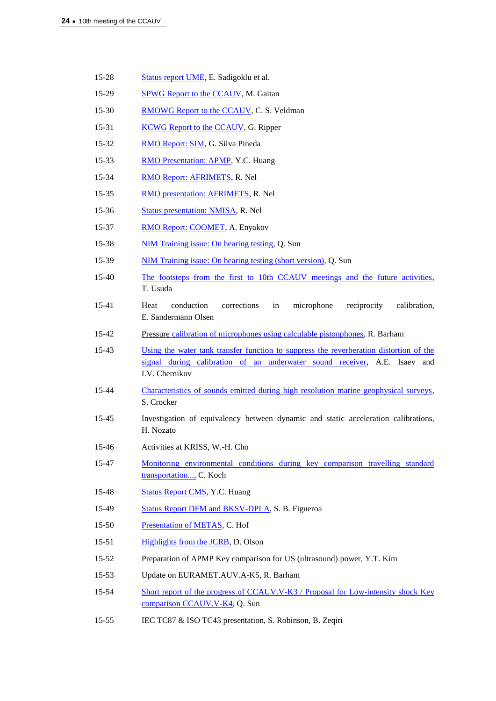- 15-28 Status [report UME,](https://www.bipm.org/cc/CCAUV/Allowed/10/UME-CCAUV-15-28.pdf) E. Sadigoklu et al.
- 15-29 SPWG [Report to the CCAUV,](https://www.bipm.org/cc/CCAUV/Allowed/10/SPWG_Presentation_Final.pdf) M. Gaitan
- 15-30 RMOWG [Report to the CCAUV,](https://www.bipm.org/cc/CCAUV/Allowed/10/RMOWG_Feedback_to_CCAUV-15-30.ppsx) C. S. Veldman
- 15-31 KCWG [Report to the CCAUV,](https://www.bipm.org/cc/CCAUV/Allowed/10/KCWG_Report_CCAUV-15-31.pdf) G. Ripper
- 15-32 [RMO Report: SIM,](https://www.bipm.org/cc/CCAUV/Allowed/10/SIM-MWG9-Report-CCAUV-15-35.pdf) G. Silva Pineda
- 15-33 [RMO Presentation: APMP,](https://www.bipm.org/cc/CCAUV/Allowed/10/APMP_TCAUV_Report_CCAUV-15-33.pdf) Y.C. Huang
- 15-34 RMO [Report: AFRIMETS,](https://www.bipm.org/cc/CCAUV/Allowed/10/AFRIMETS_Report-CCAUV-15-34.pdf) R. Nel
- 15-35 [RMO presentation: AFRIMETS,](https://www.bipm.org/cc/CCAUV/Allowed/10/AFRIMETSCCAUVRMOWGfeedback25Nov.pdf) R. Nel
- 15-36 [Status presentation: NMISA,](https://www.bipm.org/cc/CCAUV/Allowed/10/NMISA_Report-CCAUV-36.pdf) R. Nel
- 15-37 [RMO Report: COOMET,](https://www.bipm.org/cc/CCAUV/Allowed/10/Pres-COOMET-CCAUV-15-37.pdf) A. Enyakov
- 15-38 [NIM Training issue: On hearing testing,](https://www.bipm.org/cc/CCAUV/Allowed/10/NIM-training-4.3_Introduction_audiometric_hearing_testing-CCAUV-15-38.pdf) Q. Sun
- 15-39 [NIM Training issue: On hearing testing \(short version\),](https://www.bipm.org/cc/CCAUV/Allowed/10/NIM-training-2.2_Clinical_applications_HIFU-CCAUV-15-39.pdf) Q. Sun
- 15-40 [The footsteps from the first to 10th CCAUV meetings and the future activities,](https://www.bipm.org/cc/CCAUV/Allowed/10/Topic_USUDA-CCAUV-15-40.pdf) T. Usuda
- 15-41 Heat conduction corrections in microphone reciprocity calibration, E. Sandermann Olsen
- 15-42 Pressure [calibration of microphones using calculable pistonphones,](https://www.bipm.org/cc/CCAUV/Allowed/10/Barham_Pistonphones-CCAUV-15-41.pdf) R. Barham
- 15-43 [Using the water tank transfer function to suppress the reverberation distortion of the](https://www.bipm.org/cc/CCAUV/Allowed/10/Water_Tank_CCAUV-15-43_corr.pdf)  [signal during calibration of an underwater sound receiver,](https://www.bipm.org/cc/CCAUV/Allowed/10/Water_Tank_CCAUV-15-43_corr.pdf) A.E. Isaev and I.V. Chernikov
- 15-44 [Characteristics of sounds emitted during high resolution marine geophysical surveys,](https://www.bipm.org/cc/CCAUV/Allowed/10/NIST_USRD_SCrocker-CCAUV-15-44.pdf) S. Crocker
- 15-45 Investigation of equivalency between dynamic and static acceleration calibrations, H. Nozato
- 15-46 Activities at KRISS, W.-H. Cho
- 15-47 [Monitoring environmental conditions during key comparison travelling standard](https://www.bipm.org/cc/CCAUV/Allowed/10/Transport_Conditions_Koch_CCAUV-15-47.pdf)  [transportation...,](https://www.bipm.org/cc/CCAUV/Allowed/10/Transport_Conditions_Koch_CCAUV-15-47.pdf) C. Koch
- 15-48 [Status Report CMS,](https://www.bipm.org/cc/CCAUV/Allowed/10/CMS-Report_CCAUV-15-48.pdf) Y.C. Huang
- 15-49 [Status Report DFM and BKSV-DPLA,](https://www.bipm.org/cc/CCAUV/Allowed/10/DFMandBKSV-DPLA_CCAUV-15-49.pdf) S. B. Figueroa
- 15-50 [Presentation of METAS,](https://www.bipm.org/cc/CCAUV/Allowed/10/METAS_acoustics_and_vibration2.pdf) C. Hof
- 15-51 [Highlights from the JCRB,](https://www.bipm.org/cc/CCAUV/Allowed/10/JCRB_Report_to_CCAUV_Nov_2015.pdf) D. Olson
- 15-52 Preparation of APMP Key comparison for US (ultrasound) power, Y.T. Kim
- 15-53 Update on EURAMET.AUV.A-K5, R. Barham
- 15-54 Short report of the progress of CCAUV.V-K3 / Proposal for Low-intensity shock Key [comparison CCAUV.V-K4,](https://www.bipm.org/cc/CCAUV/Allowed/10/short_report_ccauvvk3.pdf) Q. Sun
- 15-55 IEC TC87 & ISO TC43 presentation, S. Robinson, B. Zeqiri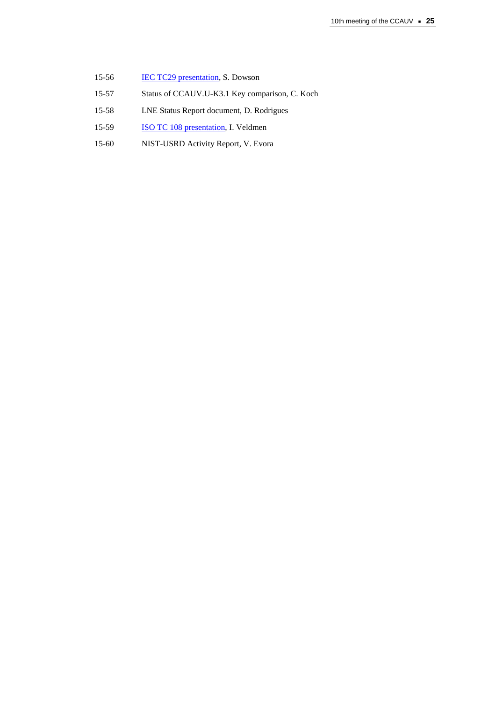- 15-56 **[IEC TC29 presentation,](https://www.bipm.org/cc/CCAUV/Allowed/10/IECTC29PresentationtoCCAUVNov15.pdf) S. Dowson**
- 15-57 Status of CCAUV.U-K3.1 Key comparison, C. Koch
- 15-58 LNE Status Report document, D. Rodrigues
- 15-59 **ISO TC 108 presentation**, I. Veldmen
- 15-60 NIST-USRD Activity Report, V. Evora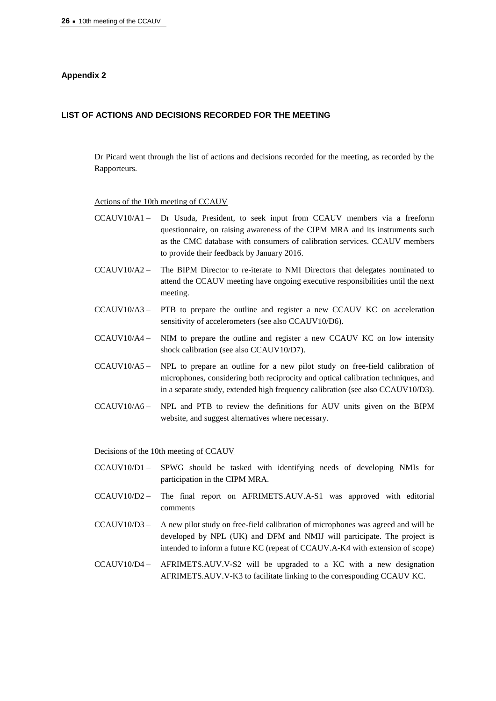## **Appendix 2**

## **LIST OF ACTIONS AND DECISIONS RECORDED FOR THE MEETING**

Dr Picard went through the list of actions and decisions recorded for the meeting, as recorded by the Rapporteurs.

#### Actions of the 10th meeting of CCAUV

- CCAUV10/A1 Dr Usuda, President, to seek input from CCAUV members via a freeform questionnaire, on raising awareness of the CIPM MRA and its instruments such as the CMC database with consumers of calibration services. CCAUV members to provide their feedback by January 2016.
- CCAUV10/A2 The BIPM Director to re-iterate to NMI Directors that delegates nominated to attend the CCAUV meeting have ongoing executive responsibilities until the next meeting.
- CCAUV10/A3 PTB to prepare the outline and register a new CCAUV KC on acceleration sensitivity of accelerometers (see also CCAUV10/D6).
- CCAUV10/A4 NIM to prepare the outline and register a new CCAUV KC on low intensity shock calibration (see also CCAUV10/D7).
- CCAUV10/A5 NPL to prepare an outline for a new pilot study on free-field calibration of microphones, considering both reciprocity and optical calibration techniques, and in a separate study, extended high frequency calibration (see also CCAUV10/D3).
- CCAUV10/A6 NPL and PTB to review the definitions for AUV units given on the BIPM website, and suggest alternatives where necessary.

Decisions of the 10th meeting of CCAUV

- CCAUV10/D1 SPWG should be tasked with identifying needs of developing NMIs for participation in the CIPM MRA.
- CCAUV10/D2 The final report on AFRIMETS.AUV.A-S1 was approved with editorial comments
- CCAUV10/D3 A new pilot study on free-field calibration of microphones was agreed and will be developed by NPL (UK) and DFM and NMIJ will participate. The project is intended to inform a future KC (repeat of CCAUV.A-K4 with extension of scope)
- CCAUV10/D4 AFRIMETS.AUV.V-S2 will be upgraded to a KC with a new designation AFRIMETS.AUV.V-K3 to facilitate linking to the corresponding CCAUV KC.